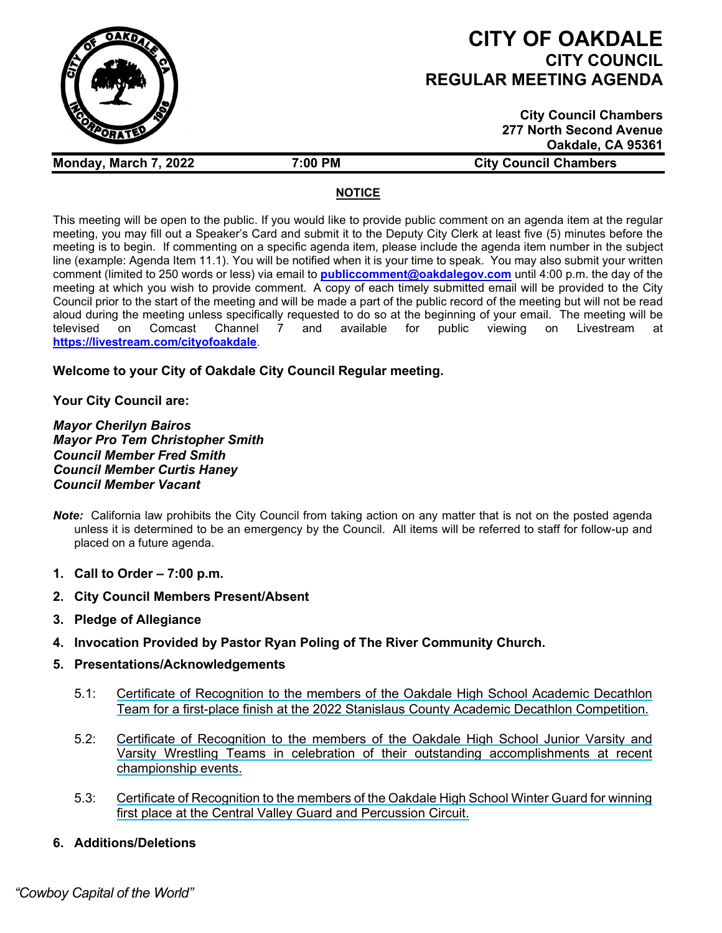

# **CITY OF OAKDALE CITY COUNCIL REGULAR MEETING AGENDA**

**City Council Chambers 277 North Second Avenue Oakdale, CA 95361**

**Monday, March 7, 2022 7:00 PM City Council Chambers**

## **NOTICE**

This meeting will be open to the public. If you would like to provide public comment on an agenda item at the regular meeting, you may fill out a Speaker's Card and submit it to the Deputy City Clerk at least five (5) minutes before the meeting is to begin. If commenting on a specific agenda item, please include the agenda item number in the subject line (example: Agenda Item 11.1). You will be notified when it is your time to speak. You may also submit your written comment (limited to 250 words or less) via email to **[publiccomment@oakdalegov.com](mailto:publiccomment@oakdalegov.com)** until 4:00 p.m. the day of the meeting at which you wish to provide comment. A copy of each timely submitted email will be provided to the City Council prior to the start of the meeting and will be made a part of the public record of the meeting but will not be read aloud during the meeting unless specifically requested to do so at the beginning of your email. The meeting will be<br>televised on Comcast Channel 7 and available for public viewing on Livestream at televised on Comcast Channel 7 and available for public viewing on Livestream at **<https://livestream.com/cityofoakdale>**.

# **Welcome to your City of Oakdale City Council Regular meeting.**

# **Your City Council are:**

*Mayor Cherilyn Bairos Mayor Pro Tem Christopher Smith Council Member Fred Smith Council Member Curtis Haney Council Member Vacant*

- *Note:* California law prohibits the City Council from taking action on any matter that is not on the posted agenda unless it is determined to be an emergency by the Council. All items will be referred to staff for follow-up and placed on a future agenda.
- **1. Call to Order – 7:00 p.m.**
- **2. City Council Members Present/Absent**
- **3. Pledge of Allegiance**
- **4. Invocation Provided by Pastor Ryan Poling of The River Community Church.**
- **5. Presentations/Acknowledgements**
	- 5.1: Certificate of Recognition to the members of the Oakdale High School Academic Decathlon Team for a first-place finish at the 2022 Stanislaus County Academic Decathlon Competition.
	- 5.2: Certificate of Recognition to the members of the Oakdale High School Junior Varsity and Varsity Wrestling Teams in celebration of their outstanding accomplishments at recent championship events.
	- 5.3: Certificate of Recognition to the members of the Oakdale High School Winter Guard for winning first place at the Central Valley Guard and Percussion Circuit.
- **6. Additions/Deletions**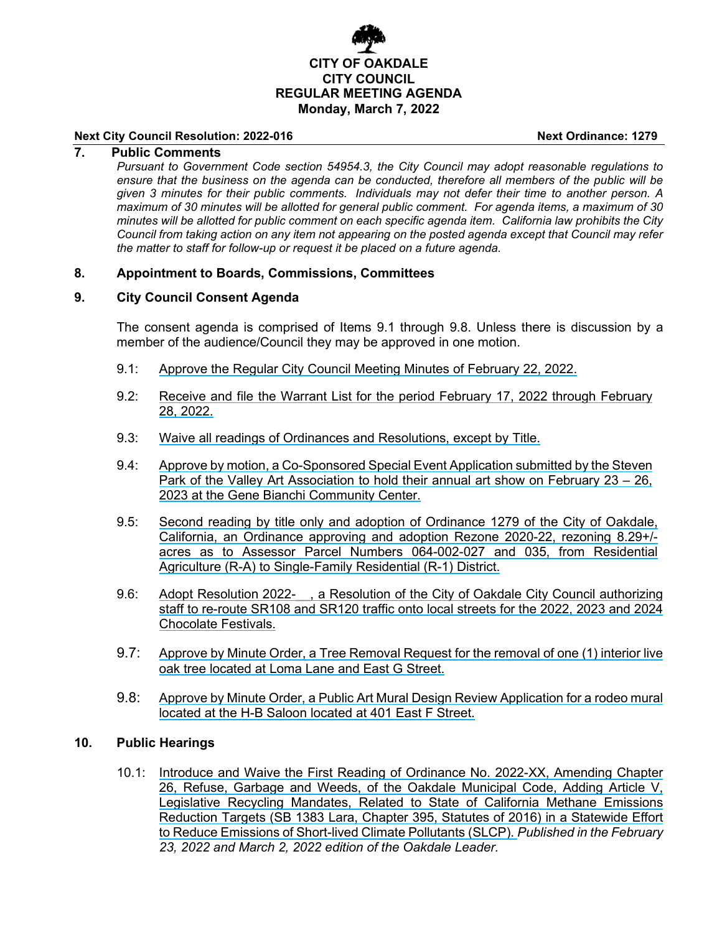

#### **Next City Council Resolution: 2022-016 Next Ordinance: 1279**

### **7. Public Comments**

*Pursuant to Government Code section 54954.3, the City Council may adopt reasonable regulations to ensure that the business on the agenda can be conducted, therefore all members of the public will be given 3 minutes for their public comments. Individuals may not defer their time to another person. A maximum of 30 minutes will be allotted for general public comment. For agenda items, a maximum of 30 minutes will be allotted for public comment on each specific agenda item. California law prohibits the City Council from taking action on any item not appearing on the posted agenda except that Council may refer the matter to staff for follow-up or request it be placed on a future agenda.*

#### **8. Appointment to Boards, Commissions, Committees**

#### **9. City Council Consent Agenda**

The consent agenda is comprised of Items 9.1 through 9.8. Unless there is discussion by a member of the audience/Council they may be approved in one motion.

- 9.1: Approve the Regular City Council Meeting Minutes of February 22, 2022.
- 9.2: Receive and file the Warrant List for the period February 17, 2022 through February 28, 2022.
- 9.3: Waive all readings of Ordinances and Resolutions, except by Title.
- 9.4: Approve by motion, a Co-Sponsored Special Event Application submitted by the Steven Park of the Valley Art Association to hold their annual art show on February 23 – 26, 2023 at the Gene Bianchi Community Center.
- 9.5: Second reading by title only and adoption of Ordinance 1279 of the City of Oakdale, California, an Ordinance approving and adoption Rezone 2020-22, rezoning 8.29+/ acres as to Assessor Parcel Numbers 064-002-027 and 035, from Residential Agriculture (R-A) to Single-Family Residential (R-1) District.
- 9.6: Adopt Resolution 2022-, a Resolution of the City of Oakdale City Council authorizing staff to re-route SR108 and SR120 traffic onto local streets for the 2022, 2023 and 2024 Chocolate Festivals.
- 9.7: Approve by Minute Order, a Tree Removal Request for the removal of one (1) interior live oak tree located at Loma Lane and East G Street.
- 9.8: Approve by Minute Order, a Public Art Mural Design Review Application for a rodeo mural located at the H-B Saloon located at 401 East F Street.

#### **10. Public Hearings**

10.1: Introduce and Waive the First Reading of Ordinance No. 2022-XX, Amending Chapter 26, Refuse, Garbage and Weeds, of the Oakdale Municipal Code, Adding Article V, Legislative Recycling Mandates, Related to State of California Methane Emissions Reduction Targets (SB 1383 Lara, Chapter 395, Statutes of 2016) in a Statewide Effort to Reduce Emissions of Short-lived Climate Pollutants (SLCP). *Published in the February 23, 2022 and March 2, 2022 edition of the Oakdale Leader.*